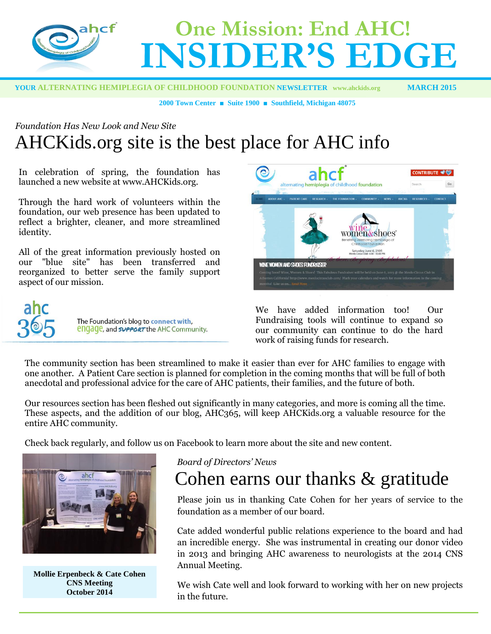

 **YOUR ALTERNATING HEMIPLEGIA OF CHILDHOOD FOUNDATION NEWSLETTER [www.ahckids.org](http://www.ahckids.org/) MARCH 2015**

**2000 Town Center ■ Suite 1900 ■ Southfield, Michigan 48075**

## *Foundation Has New Look and New Site* AHCKids.org site is the best place for AHC info

In celebration of spring, the foundation has launched a new website at www.AHCKids.org.

Through the hard work of volunteers within the foundation, our web presence has been updated to reflect a brighter, cleaner, and more streamlined identity.

All of the great information previously hosted on our "blue site" has been transferred and reorganized to better serve the family support aspect of our mission.





We have added information too! Our Fundraising tools will continue to expand so our community can continue to do the hard work of raising funds for research.

The community section has been streamlined to make it easier than ever for AHC families to engage with one another. A Patient Care section is planned for completion in the coming months that will be full of both anecdotal and professional advice for the care of AHC patients, their families, and the future of both.

Our resources section has been fleshed out significantly in many categories, and more is coming all the time. These aspects, and the addition of our blog, AHC365, will keep AHCKids.org a valuable resource for the entire AHC community.

Check back regularly, and follow us on Facebook to learn more about the site and new content.



**Mollie Erpenbeck & Cate Cohen CNS Meeting October 2014**

#### *Board of Directors' News*

# Cohen earns our thanks & gratitude

Please join us in thanking Cate Cohen for her years of service to the foundation as a member of our board.

Cate added wonderful public relations experience to the board and had an incredible energy. She was instrumental in creating our donor video in 2013 and bringing AHC awareness to neurologists at the 2014 CNS Annual Meeting.

We wish Cate well and look forward to working with her on new projects in the future.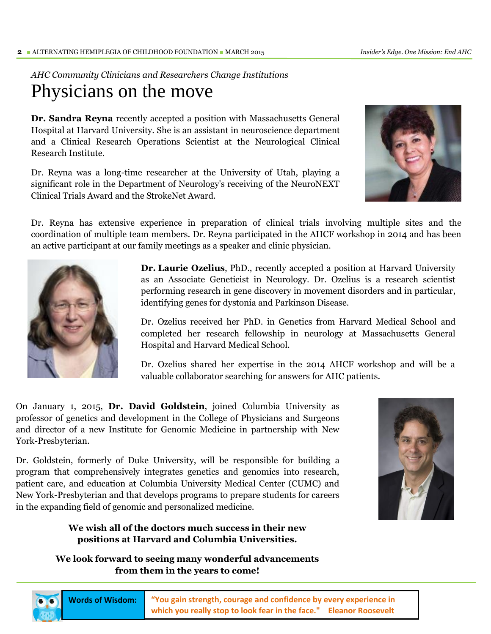### *AHC Community Clinicians and Researchers Change Institutions* Physicians on the move

**Dr. Sandra Reyna** recently accepted a position with Massachusetts General Hospital at Harvard University. She is an assistant in neuroscience department and a Clinical Research Operations Scientist at the Neurological Clinical Research Institute.

Dr. Reyna was a long-time researcher at the University of Utah, playing a significant role in the Department of Neurology's receiving of the NeuroNEXT Clinical Trials Award and the StrokeNet Award.



Dr. Reyna has extensive experience in preparation of clinical trials involving multiple sites and the coordination of multiple team members. Dr. Reyna participated in the AHCF workshop in 2014 and has been an active participant at our family meetings as a speaker and clinic physician.



j

**Dr. Laurie Ozelius**, PhD., recently accepted a position at Harvard University as an Associate Geneticist in Neurology. Dr. Ozelius is a research scientist performing research in gene discovery in movement disorders and in particular, identifying genes for dystonia and Parkinson Disease.

Dr. Ozelius received her PhD. in Genetics from Harvard Medical School and completed her research fellowship in neurology at Massachusetts General Hospital and Harvard Medical School.

Dr. Ozelius shared her expertise in the 2014 AHCF workshop and will be a valuable collaborator searching for answers for AHC patients.

On January 1, 2015, **Dr. David Goldstein**, joined Columbia University as professor of genetics and development in the College of Physicians and Surgeons and director of a new Institute for Genomic Medicine in partnership with New York-Presbyterian.

Dr. Goldstein, formerly of Duke University, will be responsible for building a program that comprehensively integrates genetics and genomics into research, patient care, and education at Columbia University Medical Center (CUMC) and New York-Presbyterian and that develops programs to prepare students for careers in the expanding field of genomic and personalized medicine.

### **We wish all of the doctors much success in their new positions at Harvard and Columbia Universities.**

**We look forward to seeing many wonderful advancements from them in the years to come!**



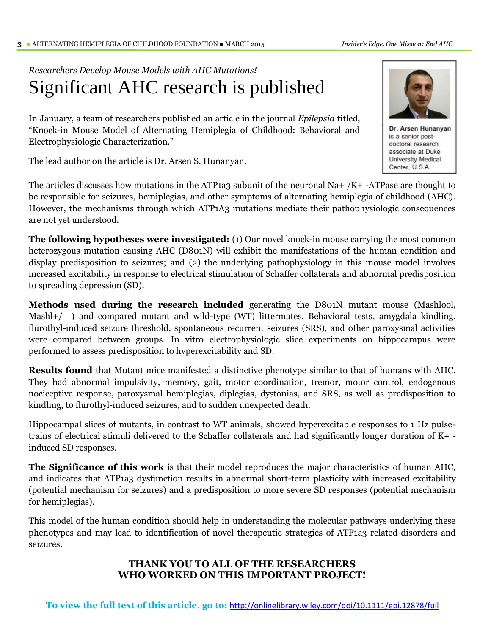i

## *Researchers Develop Mouse Models with AHC Mutations!* Significant AHC research is published

In January, a team of researchers published an article in the journal *Epilepsia* titled, "Knock-in Mouse Model of Alternating Hemiplegia of Childhood: Behavioral and Electrophysiologic Characterization."

The lead author on the article is Dr. Arsen S. Hunanyan.

The articles discusses how mutations in the ATP1a3 subunit of the neuronal Na+  $/K+$  -ATPase are thought to be responsible for seizures, hemiplegias, and other symptoms of alternating hemiplegia of childhood (AHC). However, the mechanisms through which ATP1A3 mutations mediate their pathophysiologic consequences are not yet understood.

**The following hypotheses were investigated:** (1) Our novel knock-in mouse carrying the most common heterozygous mutation causing AHC (D801N) will exhibit the manifestations of the human condition and display predisposition to seizures; and (2) the underlying pathophysiology in this mouse model involves increased excitability in response to electrical stimulation of Schaffer collaterals and abnormal predisposition to spreading depression (SD).

**Methods used during the research included** generating the D801N mutant mouse (Mashlool, Mashl+/ ) and compared mutant and wild-type (WT) littermates. Behavioral tests, amygdala kindling, flurothyl-induced seizure threshold, spontaneous recurrent seizures (SRS), and other paroxysmal activities were compared between groups. In vitro electrophysiologic slice experiments on hippocampus were performed to assess predisposition to hyperexcitability and SD.

**Results found** that Mutant mice manifested a distinctive phenotype similar to that of humans with AHC. They had abnormal impulsivity, memory, gait, motor coordination, tremor, motor control, endogenous nociceptive response, paroxysmal hemiplegias, diplegias, dystonias, and SRS, as well as predisposition to kindling, to flurothyl-induced seizures, and to sudden unexpected death.

Hippocampal slices of mutants, in contrast to WT animals, showed hyperexcitable responses to 1 Hz pulsetrains of electrical stimuli delivered to the Schaffer collaterals and had significantly longer duration of K+ induced SD responses.

**The Significance of this work** is that their model reproduces the major characteristics of human AHC, and indicates that ATP1a3 dysfunction results in abnormal short-term plasticity with increased excitability (potential mechanism for seizures) and a predisposition to more severe SD responses (potential mechanism for hemiplegias).

This model of the human condition should help in understanding the molecular pathways underlying these phenotypes and may lead to identification of novel therapeutic strategies of ATP1a3 related disorders and seizures.

### **THANK YOU TO ALL OF THE RESEARCHERS WHO WORKED ON THIS IMPORTANT PROJECT!**

**To view the full text of this article, go to:** <http://onlinelibrary.wiley.com/doi/10.1111/epi.12878/full>